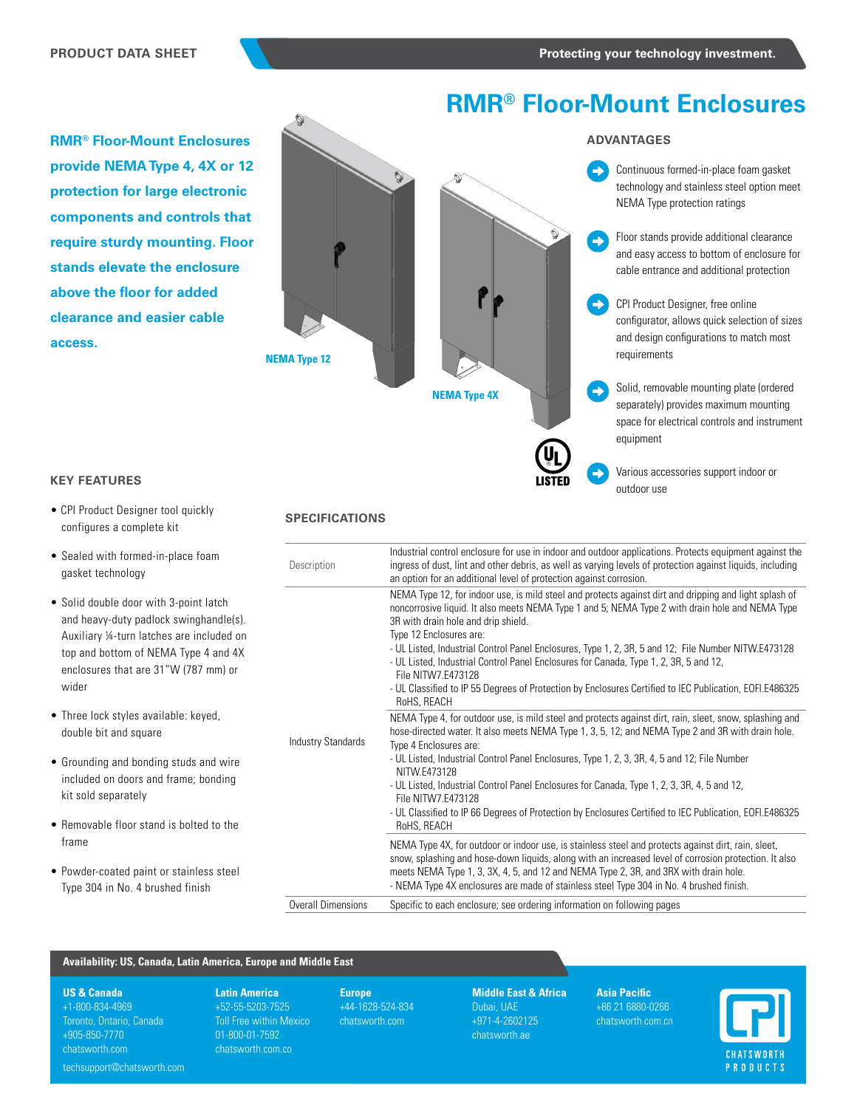Various accessories support indoor or

outdoor use

**RMR® Floor-Mount Enclosures provide NEMA Type 4, 4X or 12 protection for large electronic components and controls that require sturdy mounting. Floor stands elevate the enclosure above the floor for added clearance and easier cable access.**



### **KEY FEATURES**

- CPI Product Designer tool quickly configures a complete kit
- Sealed with formed-in-place foam gasket technology
- Solid double door with 3-point latch and heavy-duty padlock swinghandle Auxiliary ¼-turn latches are included top and bottom of NEMA Type 4 and enclosures that are 31"W (787 mm) or wider
- Three lock styles available: keyed, double bit and square
- Grounding and bonding studs and wire included on doors and frame; bonding kit sold separately
- Removable floor stand is bolted to the frame
- Powder-coated paint or stainless steel Type 304 in No. 4 brushed finish

### **SPECIFICATIONS**

| Description               | Industrial control enclosure for use in indoor and outdoor applications. Protects equipment against the<br>ingress of dust, lint and other debris, as well as varying levels of protection against liquids, including<br>an option for an additional level of protection against corrosion.                                                                                                                                                                                                                                                                                                                                 |
|---------------------------|-----------------------------------------------------------------------------------------------------------------------------------------------------------------------------------------------------------------------------------------------------------------------------------------------------------------------------------------------------------------------------------------------------------------------------------------------------------------------------------------------------------------------------------------------------------------------------------------------------------------------------|
|                           | NEMA Type 12, for indoor use, is mild steel and protects against dirt and dripping and light splash of<br>noncorrosive liquid. It also meets NEMA Type 1 and 5; NEMA Type 2 with drain hole and NEMA Type<br>3R with drain hole and drip shield.<br>Type 12 Enclosures are:<br>- UL Listed, Industrial Control Panel Enclosures, Type 1, 2, 3R, 5 and 12; File Number NITW.E473128<br>- UL Listed, Industrial Control Panel Enclosures for Canada, Type 1, 2, 3R, 5 and 12,<br>File NITW7.E473128<br>- UL Classified to IP 55 Degrees of Protection by Enclosures Certified to IEC Publication, EOFI.E486325<br>RoHS, REACH |
| <b>Industry Standards</b> | NEMA Type 4, for outdoor use, is mild steel and protects against dirt, rain, sleet, snow, splashing and<br>hose-directed water. It also meets NEMA Type 1, 3, 5, 12; and NEMA Type 2 and 3R with drain hole.<br>Type 4 Enclosures are:                                                                                                                                                                                                                                                                                                                                                                                      |
|                           | - UL Listed, Industrial Control Panel Enclosures, Type 1, 2, 3, 3R, 4, 5 and 12; File Number<br>NITW F473128                                                                                                                                                                                                                                                                                                                                                                                                                                                                                                                |
|                           | - UL Listed, Industrial Control Panel Enclosures for Canada, Type 1, 2, 3, 3R, 4, 5 and 12,<br>File NITW7.E473128                                                                                                                                                                                                                                                                                                                                                                                                                                                                                                           |
|                           | - UL Classified to IP 66 Degrees of Protection by Enclosures Certified to IEC Publication, EOFI.E486325<br>RoHS, REACH                                                                                                                                                                                                                                                                                                                                                                                                                                                                                                      |
|                           | NEMA Type 4X, for outdoor or indoor use, is stainless steel and protects against dirt, rain, sleet,<br>snow, splashing and hose-down liquids, along with an increased level of corrosion protection. It also<br>meets NEMA Type 1, 3, 3X, 4, 5, and 12 and NEMA Type 2, 3R, and 3RX with drain hole.<br>- NEMA Type 4X enclosures are made of stainless steel Type 304 in No. 4 brushed finish.                                                                                                                                                                                                                             |
| <b>Overall Dimensions</b> | Specific to each enclosure; see ordering information on following pages                                                                                                                                                                                                                                                                                                                                                                                                                                                                                                                                                     |

## **Availability: US, Canada, Latin America, Europe and Middle East**

#### **US & Canada**

+1-800-834-4969 Toronto, Ontario, Canada +905-850-7770 chatsworth.com

**Latin America**  +52-55-5203-7525 Toll Free within Mexico 01-800-01-7592 chatsworth.com.co

**Europe** +44-1628-524-834 chatsworth.com

**Middle East & Africa** Dubai, UAE +971-4-2602125 chatsworth.ae

**Asia Pacific** +86 21 6880-0266 chatsworth.com.cn



techsupport@chatsworth.com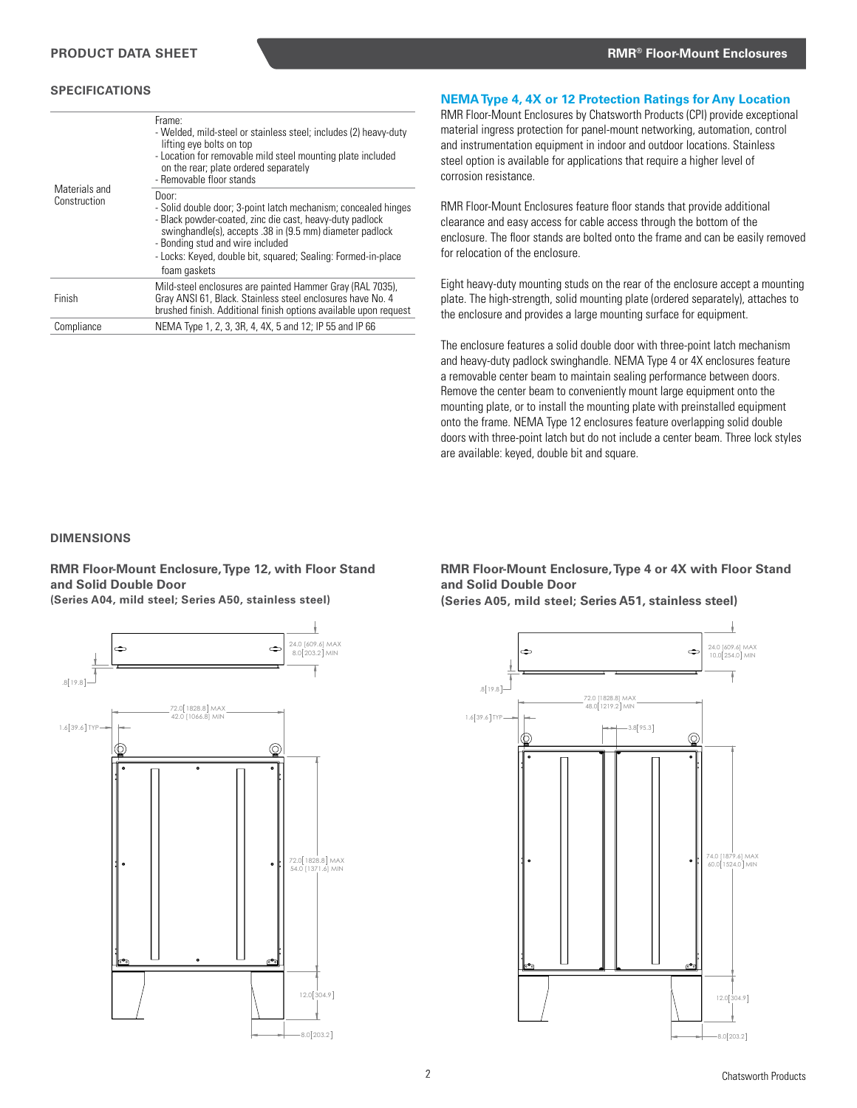### **SPECIFICATIONS**

| Materials and<br>Construction | Frame:<br>- Welded, mild-steel or stainless steel; includes (2) heavy-duty<br>lifting eye bolts on top<br>- Location for removable mild steel mounting plate included<br>on the rear; plate ordered separately<br>- Removable floor stands                                                                           |
|-------------------------------|----------------------------------------------------------------------------------------------------------------------------------------------------------------------------------------------------------------------------------------------------------------------------------------------------------------------|
|                               | Door:<br>- Solid double door; 3-point latch mechanism; concealed hinges<br>- Black powder-coated, zinc die cast, heavy-duty padlock<br>swinghandle(s), accepts .38 in (9.5 mm) diameter padlock<br>- Bonding stud and wire included<br>- Locks: Keyed, double bit, squared; Sealing: Formed-in-place<br>foam gaskets |
|                               | Mild-steel enclosures are painted Hammer Gray (RAL 7035),                                                                                                                                                                                                                                                            |
| Finish                        | Gray ANSI 61, Black. Stainless steel enclosures have No. 4<br>brushed finish. Additional finish options available upon request                                                                                                                                                                                       |
| Compliance                    | NEMA Type 1, 2, 3, 3R, 4, 4X, 5 and 12; IP 55 and IP 66                                                                                                                                                                                                                                                              |

## **NEMA Type 4, 4X or 12 Protection Ratings for Any Location**

RMR Floor-Mount Enclosures by Chatsworth Products (CPI) provide exceptional material ingress protection for panel-mount networking, automation, control and instrumentation equipment in indoor and outdoor locations. Stainless steel option is available for applications that require a higher level of corrosion resistance.

RMR Floor-Mount Enclosures feature floor stands that provide additional clearance and easy access for cable access through the bottom of the enclosure. The floor stands are bolted onto the frame and can be easily removed for relocation of the enclosure.

Eight heavy-duty mounting studs on the rear of the enclosure accept a mounting plate. The high-strength, solid mounting plate (ordered separately), attaches to the enclosure and provides a large mounting surface for equipment.

The enclosure features a solid double door with three-point latch mechanism and heavy-duty padlock swinghandle. NEMA Type 4 or 4X enclosures feature a removable center beam to maintain sealing performance between doors. Remove the center beam to conveniently mount large equipment onto the mounting plate, or to install the mounting plate with preinstalled equipment onto the frame. NEMA Type 12 enclosures feature overlapping solid double doors with three-point latch but do not include a center beam. Three lock styles are available: keyed, double bit and square.

#### **DIMENSIONS**

# **RMR Floor-Mount Enclosure, Type 12, with Floor Stand and Solid Double Door**

**(Series A04, mild steel; Series A50, stainless steel)**







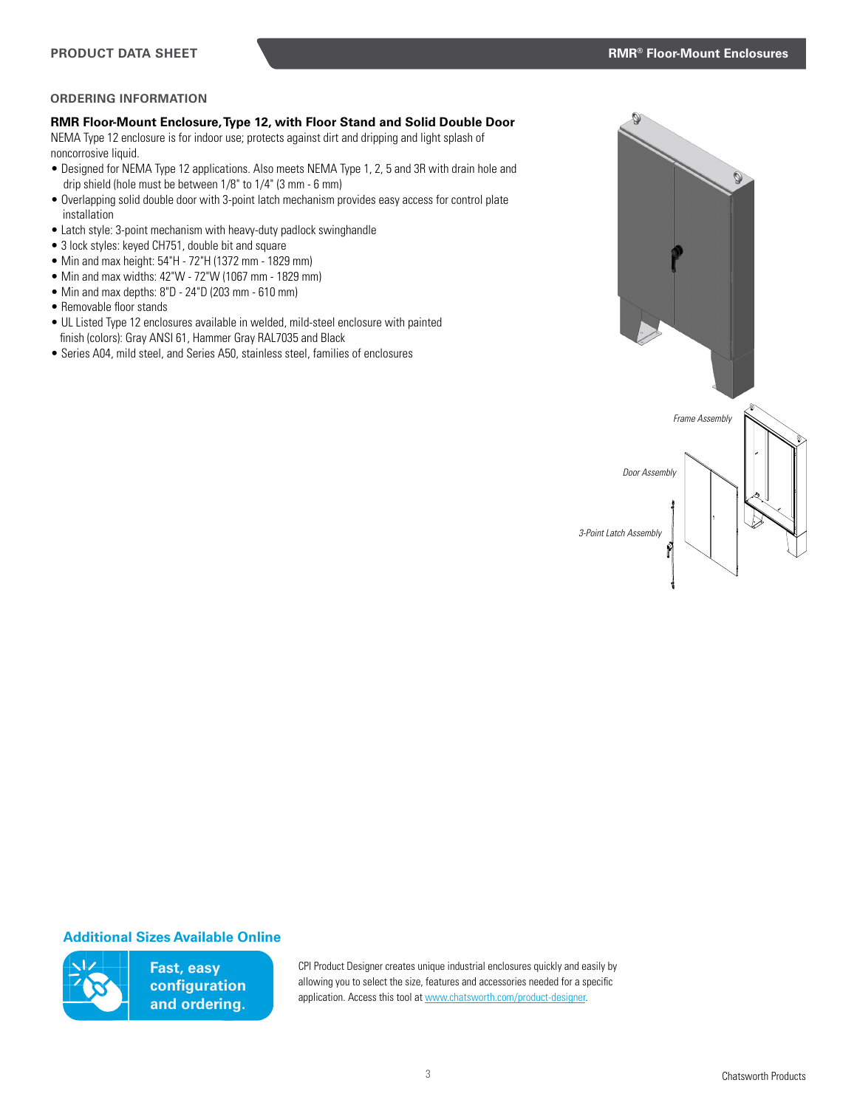### **ORDERING INFORMATION**

## **RMR Floor-Mount Enclosure, Type 12, with Floor Stand and Solid Double Door**

NEMA Type 12 enclosure is for indoor use; protects against dirt and dripping and light splash of noncorrosive liquid.

- Designed for NEMA Type 12 applications. Also meets NEMA Type 1, 2, 5 and 3R with drain hole and drip shield (hole must be between 1/8" to 1/4" (3 mm - 6 mm)
- Overlapping solid double door with 3-point latch mechanism provides easy access for control plate installation
- Latch style: 3-point mechanism with heavy-duty padlock swinghandle
- 3 lock styles: keyed CH751, double bit and square
- Min and max height: 54"H 72"H (1372 mm 1829 mm)
- Min and max widths: 42"W 72"W (1067 mm 1829 mm)
- Min and max depths: 8"D 24"D (203 mm 610 mm)
- Removable floor stands
- UL Listed Type 12 enclosures available in welded, mild-steel enclosure with painted finish (colors): Gray ANSI 61, Hammer Gray RAL7035 and Black
- Series A04, mild steel, and Series A50, stainless steel, families of enclosures



## **Additional Sizes Available Online**



**Fast, easy configuration and ordering.** 

CPI Product Designer creates unique industrial enclosures quickly and easily by allowing you to select the size, features and accessories needed for a specific application. Access this tool at [www.chatsworth.com/product-designer](http://www.chatsworth.com/product-designer).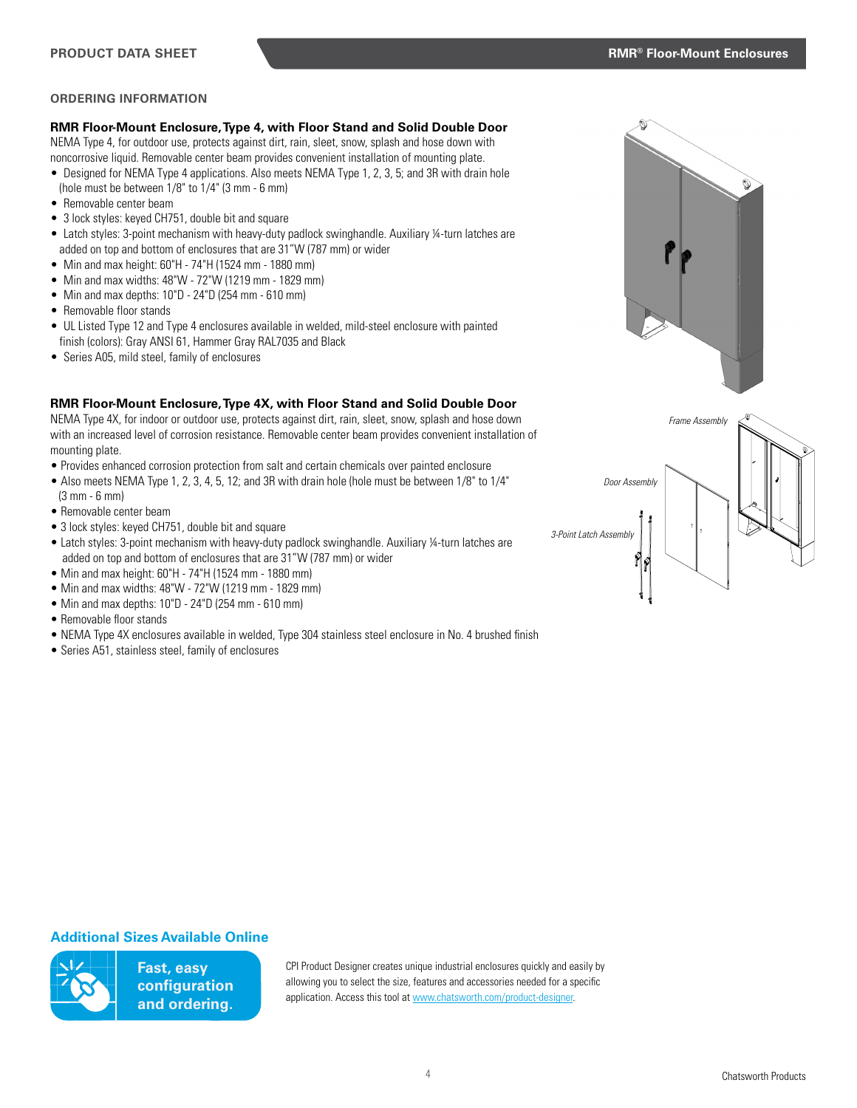### **ORDERING INFORMATION**

### **RMR Floor-Mount Enclosure, Type 4, with Floor Stand and Solid Double Door**

NEMA Type 4, for outdoor use, protects against dirt, rain, sleet, snow, splash and hose down with noncorrosive liquid. Removable center beam provides convenient installation of mounting plate.

- Designed for NEMA Type 4 applications. Also meets NEMA Type 1, 2, 3, 5; and 3R with drain hole (hole must be between 1/8" to 1/4" (3 mm - 6 mm)
- Removable center beam
- 3 lock styles: keyed CH751, double bit and square
- Latch styles: 3-point mechanism with heavy-duty padlock swinghandle. Auxiliary ¼-turn latches are added on top and bottom of enclosures that are 31"W (787 mm) or wider
- Min and max height: 60"H 74"H (1524 mm 1880 mm)
- Min and max widths: 48"W 72"W (1219 mm 1829 mm)
- Min and max depths: 10"D 24"D (254 mm 610 mm)
- Removable floor stands
- UL Listed Type 12 and Type 4 enclosures available in welded, mild-steel enclosure with painted finish (colors): Gray ANSI 61, Hammer Gray RAL7035 and Black
- Series A05, mild steel, family of enclosures

## **RMR Floor-Mount Enclosure, Type 4X, with Floor Stand and Solid Double Door**

NEMA Type 4X, for indoor or outdoor use, protects against dirt, rain, sleet, snow, splash and hose down with an increased level of corrosion resistance. Removable center beam provides convenient installation of mounting plate.

- Provides enhanced corrosion protection from salt and certain chemicals over painted enclosure
- Also meets NEMA Type 1, 2, 3, 4, 5, 12; and 3R with drain hole (hole must be between 1/8" to 1/4" (3 mm - 6 mm)
- Removable center beam
- 3 lock styles: keyed CH751, double bit and square
- Latch styles: 3-point mechanism with heavy-duty padlock swinghandle. Auxiliary ¼-turn latches are added on top and bottom of enclosures that are 31"W (787 mm) or wider
- Min and max height: 60"H 74"H (1524 mm 1880 mm)
- Min and max widths: 48"W 72"W (1219 mm 1829 mm)
- Min and max depths: 10"D 24"D (254 mm 610 mm)
- Removable floor stands
- NEMA Type 4X enclosures available in welded, Type 304 stainless steel enclosure in No. 4 brushed finish
- Series A51, stainless steel, family of enclosures





## **Additional Sizes Available Online**



**Fast, easy configuration and ordering.**  CPI Product Designer creates unique industrial enclosures quickly and easily by allowing you to select the size, features and accessories needed for a specific application. Access this tool at [www.chatsworth.com/product-designer](http://www.chatsworth.com/product-designer).